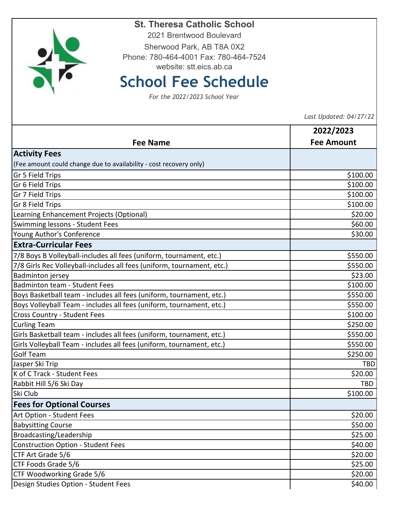| 2021 Brentwood Boulevard                                                                  |                                |
|-------------------------------------------------------------------------------------------|--------------------------------|
| Sherwood Park, AB T8A 0X2                                                                 |                                |
| Phone: 780-464-4001 Fax: 780-464-7524                                                     |                                |
| website: stt.eics.ab.ca                                                                   |                                |
| <b>School Fee Schedule</b><br>For the 2022/2023 School Year                               |                                |
|                                                                                           |                                |
|                                                                                           |                                |
| <b>Fee Name</b>                                                                           | 2022/2023<br><b>Fee Amount</b> |
| <b>Activity Fees</b>                                                                      |                                |
| (Fee amount could change due to availability - cost recovery only)                        |                                |
| Gr 5 Field Trips                                                                          | \$100.00                       |
| Gr 6 Field Trips                                                                          | \$100.00                       |
| Gr 7 Field Trips                                                                          | \$100.00                       |
| Gr 8 Field Trips                                                                          | \$100.00                       |
| Learning Enhancement Projects (Optional)                                                  | \$20.00                        |
| Swimming lessons - Student Fees                                                           | \$60.00                        |
| Young Author's Conference                                                                 | \$30.00                        |
| <b>Extra-Curricular Fees</b>                                                              |                                |
| 7/8 Boys B Volleyball-includes all fees (uniform, tournament, etc.)                       | \$550.00                       |
| 7/8 Girls Rec Volleyball-includes all fees (uniform, tournament, etc.)                    | \$550.00                       |
| <b>Badminton jersey</b>                                                                   | \$23.00                        |
| <b>Badminton team - Student Fees</b>                                                      | \$100.00                       |
| Boys Basketball team - includes all fees (uniform, tournament, etc.)                      | \$550.00                       |
| Boys Volleyball Team - includes all fees (uniform, tournament, etc.)                      | \$550.00                       |
| Cross Country - Student Fees                                                              | \$100.00                       |
| <b>Curling Team</b>                                                                       | \$250.00                       |
| Girls Basketball team - includes all fees (uniform, tournament, etc.)                     | \$550.00                       |
| Girls Volleyball Team - includes all fees (uniform, tournament, etc.)<br><b>Golf Team</b> | \$550.00                       |
| Jasper Ski Trip                                                                           | \$250.00<br><b>TBD</b>         |
| K of C Track - Student Fees                                                               | \$20.00                        |
| Rabbit Hill 5/6 Ski Day                                                                   | TBD                            |
| Ski Club                                                                                  | \$100.00                       |
| <b>Fees for Optional Courses</b>                                                          |                                |
| Art Option - Student Fees                                                                 | \$20.00                        |
| <b>Babysitting Course</b>                                                                 | \$50.00                        |
| Broadcasting/Leadership                                                                   | \$25.00                        |
| <b>Construction Option - Student Fees</b>                                                 | \$40.00                        |
| CTF Art Grade 5/6                                                                         | \$20.00                        |
| CTF Foods Grade 5/6                                                                       | \$25.00                        |
| CTF Woodworking Grade 5/6                                                                 | \$20.00                        |
| Design Studies Option - Student Fees                                                      | \$40.00                        |
|                                                                                           |                                |